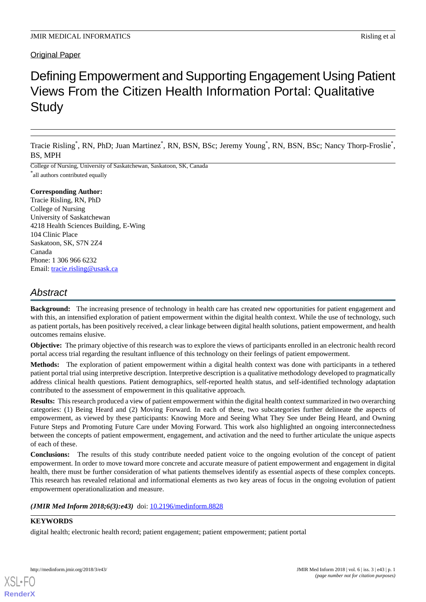# Original Paper

# Defining Empowerment and Supporting Engagement Using Patient Views From the Citizen Health Information Portal: Qualitative **Study**

Tracie Risling<sup>\*</sup>, RN, PhD; Juan Martinez<sup>\*</sup>, RN, BSN, BSc; Jeremy Young<sup>\*</sup>, RN, BSN, BSc; Nancy Thorp-Froslie<sup>\*</sup>, BS, MPH

College of Nursing, University of Saskatchewan, Saskatoon, SK, Canada \* all authors contributed equally

## **Corresponding Author:**

Tracie Risling, RN, PhD College of Nursing University of Saskatchewan 4218 Health Sciences Building, E-Wing 104 Clinic Place Saskatoon, SK, S7N 2Z4 Canada Phone: 1 306 966 6232 Email: [tracie.risling@usask.ca](mailto:tracie.risling@usask.ca)

# *Abstract*

**Background:** The increasing presence of technology in health care has created new opportunities for patient engagement and with this, an intensified exploration of patient empowerment within the digital health context. While the use of technology, such as patient portals, has been positively received, a clear linkage between digital health solutions, patient empowerment, and health outcomes remains elusive.

**Objective:** The primary objective of this research was to explore the views of participants enrolled in an electronic health record portal access trial regarding the resultant influence of this technology on their feelings of patient empowerment.

**Methods:** The exploration of patient empowerment within a digital health context was done with participants in a tethered patient portal trial using interpretive description. Interpretive description is a qualitative methodology developed to pragmatically address clinical health questions. Patient demographics, self-reported health status, and self-identified technology adaptation contributed to the assessment of empowerment in this qualitative approach.

**Results:** This research produced a view of patient empowerment within the digital health context summarized in two overarching categories: (1) Being Heard and (2) Moving Forward. In each of these, two subcategories further delineate the aspects of empowerment, as viewed by these participants: Knowing More and Seeing What They See under Being Heard, and Owning Future Steps and Promoting Future Care under Moving Forward. This work also highlighted an ongoing interconnectedness between the concepts of patient empowerment, engagement, and activation and the need to further articulate the unique aspects of each of these.

**Conclusions:** The results of this study contribute needed patient voice to the ongoing evolution of the concept of patient empowerment. In order to move toward more concrete and accurate measure of patient empowerment and engagement in digital health, there must be further consideration of what patients themselves identify as essential aspects of these complex concepts. This research has revealed relational and informational elements as two key areas of focus in the ongoing evolution of patient empowerment operationalization and measure.

(JMIR Med Inform 2018;6(3):e43) doi: [10.2196/medinform.8828](http://dx.doi.org/10.2196/medinform.8828)

# **KEYWORDS**

[XSL](http://www.w3.org/Style/XSL)•FO **[RenderX](http://www.renderx.com/)**

digital health; electronic health record; patient engagement; patient empowerment; patient portal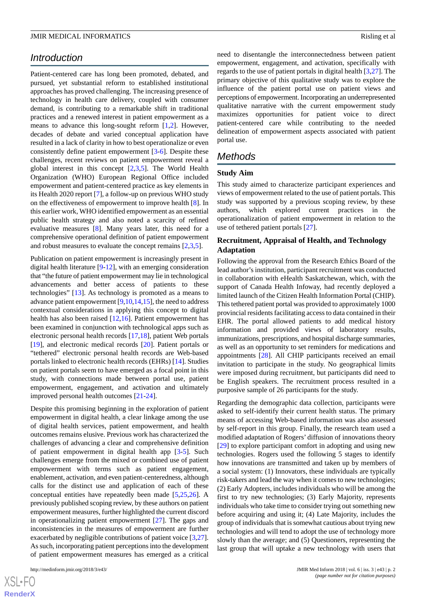# *Introduction*

Patient-centered care has long been promoted, debated, and pursued, yet substantial reform to established institutional approaches has proved challenging. The increasing presence of technology in health care delivery, coupled with consumer demand, is contributing to a remarkable shift in traditional practices and a renewed interest in patient empowerment as a means to advance this long-sought reform [\[1](#page-7-0),[2\]](#page-7-1). However, decades of debate and varied conceptual application have resulted in a lack of clarity in how to best operationalize or even consistently define patient empowerment [\[3](#page-7-2)[-6](#page-8-0)]. Despite these challenges, recent reviews on patient empowerment reveal a global interest in this concept [[2](#page-7-1)[,3](#page-7-2),[5\]](#page-7-3). The World Health Organization (WHO) European Regional Office included empowerment and patient-centered practice as key elements in its Health 2020 report [\[7\]](#page-8-1), a follow-up on previous WHO study on the effectiveness of empowerment to improve health [[8](#page-8-2)]. In this earlier work, WHO identified empowerment as an essential public health strategy and also noted a scarcity of refined evaluative measures [\[8](#page-8-2)]. Many years later, this need for a comprehensive operational definition of patient empowerment and robust measures to evaluate the concept remains  $[2,3,5]$  $[2,3,5]$  $[2,3,5]$  $[2,3,5]$  $[2,3,5]$ .

Publication on patient empowerment is increasingly present in digital health literature [\[9](#page-8-3)-[12\]](#page-8-4), with an emerging consideration that "the future of patient empowerment may lie in technological advancements and better access of patients to these technologies" [[13\]](#page-8-5). As technology is promoted as a means to advance patient empowerment [[9](#page-8-3)[,10](#page-8-6)[,14](#page-8-7),[15\]](#page-8-8), the need to address contextual considerations in applying this concept to digital health has also been raised [[12](#page-8-4)[,16](#page-8-9)]. Patient empowerment has been examined in conjunction with technological apps such as electronic personal health records [\[17](#page-8-10),[18\]](#page-8-11), patient Web portals [[19\]](#page-8-12), and electronic medical records [\[20](#page-8-13)]. Patient portals or "tethered" electronic personal health records are Web-based portals linked to electronic health records (EHRs) [\[14](#page-8-7)]. Studies on patient portals seem to have emerged as a focal point in this study, with connections made between portal use, patient empowerment, engagement, and activation and ultimately improved personal health outcomes [\[21](#page-8-14)-[24\]](#page-8-15).

Despite this promising beginning in the exploration of patient empowerment in digital health, a clear linkage among the use of digital health services, patient empowerment, and health outcomes remains elusive. Previous work has characterized the challenges of advancing a clear and comprehensive definition of patient empowerment in digital health app [\[3](#page-7-2)-[5\]](#page-7-3). Such challenges emerge from the mixed or combined use of patient empowerment with terms such as patient engagement, enablement, activation, and even patient-centeredness, although calls for the distinct use and application of each of these conceptual entities have repeatedly been made [\[5](#page-7-3),[25](#page-8-16)[,26](#page-8-17)]. A previously published scoping review, by these authors on patient empowerment measures, further highlighted the current discord in operationalizing patient empowerment [[27\]](#page-8-18). The gaps and inconsistencies in the measures of empowerment are further exacerbated by negligible contributions of patient voice [\[3](#page-7-2),[27\]](#page-8-18). As such, incorporating patient perceptions into the development of patient empowerment measures has emerged as a critical

[XSL](http://www.w3.org/Style/XSL)•FO **[RenderX](http://www.renderx.com/)** need to disentangle the interconnectedness between patient empowerment, engagement, and activation, specifically with regards to the use of patient portals in digital health [[3,](#page-7-2)[27](#page-8-18)]. The primary objective of this qualitative study was to explore the influence of the patient portal use on patient views and perceptions of empowerment. Incorporating an underrepresented qualitative narrative with the current empowerment study maximizes opportunities for patient voice to direct patient-centered care while contributing to the needed delineation of empowerment aspects associated with patient portal use.

# *Methods*

#### **Study Aim**

This study aimed to characterize participant experiences and views of empowerment related to the use of patient portals. This study was supported by a previous scoping review, by these authors, which explored current practices in the operationalization of patient empowerment in relation to the use of tethered patient portals [[27\]](#page-8-18).

#### **Recruitment, Appraisal of Health, and Technology Adaptation**

Following the approval from the Research Ethics Board of the lead author's institution, participant recruitment was conducted in collaboration with eHealth Saskatchewan, which, with the support of Canada Health Infoway, had recently deployed a limited launch of the Citizen Health Information Portal (CHIP). This tethered patient portal was provided to approximately 1000 provincial residents facilitating access to data contained in their EHR. The portal allowed patients to add medical history information and provided views of laboratory results, immunizations, prescriptions, and hospital discharge summaries, as well as an opportunity to set reminders for medications and appointments [[28\]](#page-8-19). All CHIP participants received an email invitation to participate in the study. No geographical limits were imposed during recruitment, but participants did need to be English speakers. The recruitment process resulted in a purposive sample of 26 participants for the study.

Regarding the demographic data collection, participants were asked to self-identify their current health status. The primary means of accessing Web-based information was also assessed by self-report in this group. Finally, the research team used a modified adaptation of Rogers' diffusion of innovations theory [[29\]](#page-8-20) to explore participant comfort in adopting and using new technologies. Rogers used the following 5 stages to identify how innovations are transmitted and taken up by members of a social system: (1) Innovators, these individuals are typically risk-takers and lead the way when it comes to new technologies; (2) Early Adopters, includes individuals who will be among the first to try new technologies; (3) Early Majority, represents individuals who take time to consider trying out something new before acquiring and using it; (4) Late Majority, includes the group of individuals that is somewhat cautious about trying new technologies and will tend to adopt the use of technology more slowly than the average; and (5) Questioners, representing the last group that will uptake a new technology with users that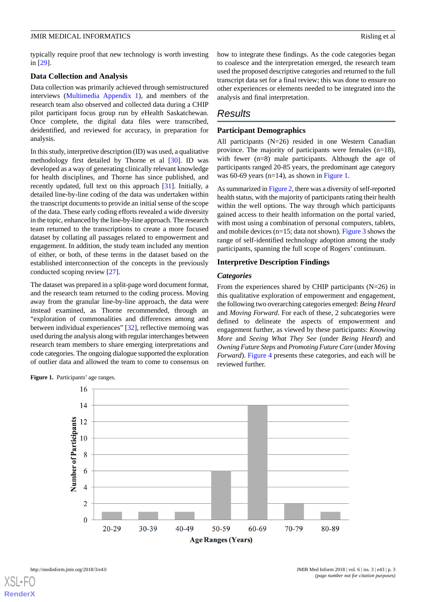typically require proof that new technology is worth investing in [\[29](#page-8-20)].

#### **Data Collection and Analysis**

Data collection was primarily achieved through semistructured interviews [\(Multimedia Appendix 1\)](#page-7-4), and members of the research team also observed and collected data during a CHIP pilot participant focus group run by eHealth Saskatchewan. Once complete, the digital data files were transcribed, deidentified, and reviewed for accuracy, in preparation for analysis.

In this study, interpretive description (ID) was used, a qualitative methodology first detailed by Thorne et al [[30\]](#page-9-0). ID was developed as a way of generating clinically relevant knowledge for health disciplines, and Thorne has since published, and recently updated, full text on this approach [[31\]](#page-9-1). Initially, a detailed line-by-line coding of the data was undertaken within the transcript documents to provide an initial sense of the scope of the data. These early coding efforts revealed a wide diversity in the topic, enhanced by the line-by-line approach. The research team returned to the transcriptions to create a more focused dataset by collating all passages related to empowerment and engagement. In addition, the study team included any mention of either, or both, of these terms in the dataset based on the established interconnection of the concepts in the previously conducted scoping review [\[27](#page-8-18)].

The dataset was prepared in a split-page word document format, and the research team returned to the coding process. Moving away from the granular line-by-line approach, the data were instead examined, as Thorne recommended, through an "exploration of commonalities and differences among and between individual experiences" [\[32](#page-9-2)], reflective memoing was used during the analysis along with regular interchanges between research team members to share emerging interpretations and code categories. The ongoing dialogue supported the exploration of outlier data and allowed the team to come to consensus on

how to integrate these findings. As the code categories began to coalesce and the interpretation emerged, the research team used the proposed descriptive categories and returned to the full transcript data set for a final review; this was done to ensure no other experiences or elements needed to be integrated into the analysis and final interpretation.

# *Results*

## **Participant Demographics**

All participants (N=26) resided in one Western Canadian province. The majority of participants were females (n=18), with fewer (n=8) male participants. Although the age of participants ranged 20-85 years, the predominant age category was 60-69 years (n=14), as shown in [Figure 1](#page-2-0).

As summarized in [Figure 2](#page-3-0), there was a diversity of self-reported health status, with the majority of participants rating their health within the well options. The way through which participants gained access to their health information on the portal varied, with most using a combination of personal computers, tablets, and mobile devices ( $n=15$ ; data not shown). [Figure 3](#page-3-1) shows the range of self-identified technology adoption among the study participants, spanning the full scope of Rogers' continuum.

#### **Interpretive Description Findings**

#### *Categories*

From the experiences shared by CHIP participants (N=26) in this qualitative exploration of empowerment and engagement, the following two overarching categories emerged: *Being Heard* and *Moving Forward*. For each of these, 2 subcategories were defined to delineate the aspects of empowerment and engagement further, as viewed by these participants: *Knowing More* and *Seeing What They See* (under *Being Heard*) and *Owning Future Steps* and *Promoting Future Care* (under *Moving Forward*). [Figure 4](#page-4-0) presents these categories, and each will be reviewed further.



<span id="page-2-0"></span>Figure 1. Participants' age ranges.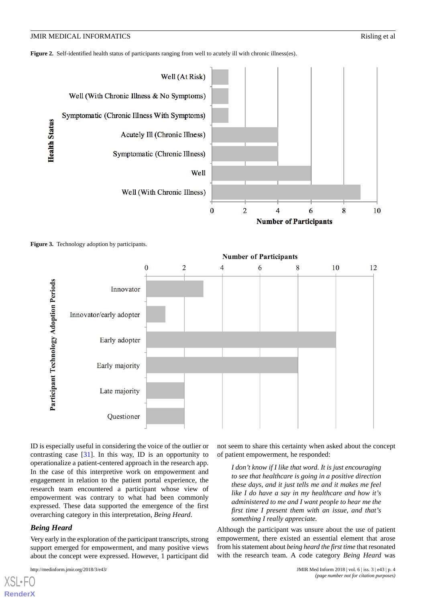<span id="page-3-0"></span>**Figure 2.** Self-identified health status of participants ranging from well to acutely ill with chronic illness(es).



<span id="page-3-1"></span>



ID is especially useful in considering the voice of the outlier or contrasting case [[31\]](#page-9-1). In this way, ID is an opportunity to operationalize a patient-centered approach in the research app. In the case of this interpretive work on empowerment and engagement in relation to the patient portal experience, the research team encountered a participant whose view of empowerment was contrary to what had been commonly expressed. These data supported the emergence of the first overarching category in this interpretation, *Being Heard*.

# *Being Heard*

[XSL](http://www.w3.org/Style/XSL)•FO **[RenderX](http://www.renderx.com/)**

Very early in the exploration of the participant transcripts, strong support emerged for empowerment, and many positive views about the concept were expressed. However, 1 participant did

not seem to share this certainty when asked about the concept of patient empowerment, he responded:

*I don't know if I like that word. It is just encouraging to see that healthcare is going in a positive direction these days, and it just tells me and it makes me feel like I do have a say in my healthcare and how it's administered to me and I want people to hear me the first time I present them with an issue, and that's something I really appreciate.*

Although the participant was unsure about the use of patient empowerment, there existed an essential element that arose from his statement about *being heard the first time* that resonated with the research team. A code category *Being Heard* was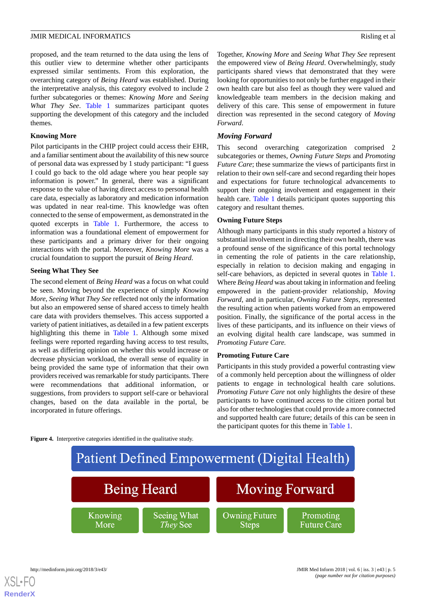proposed, and the team returned to the data using the lens of this outlier view to determine whether other participants expressed similar sentiments. From this exploration, the overarching category of *Being Heard* was established. During the interpretative analysis, this category evolved to include 2 further subcategories or themes: *Knowing More* and *Seeing What They See*. [Table 1](#page-5-0) summarizes participant quotes supporting the development of this category and the included themes.

#### **Knowing More**

Pilot participants in the CHIP project could access their EHR, and a familiar sentiment about the availability of this new source of personal data was expressed by 1 study participant: "I guess I could go back to the old adage where you hear people say information is power." In general, there was a significant response to the value of having direct access to personal health care data, especially as laboratory and medication information was updated in near real-time. This knowledge was often connected to the sense of empowerment, as demonstrated in the quoted excerpts in [Table 1](#page-5-0). Furthermore, the access to information was a foundational element of empowerment for these participants and a primary driver for their ongoing interactions with the portal. Moreover, *Knowing More* was a crucial foundation to support the pursuit of *Being Heard*.

## **Seeing What They See**

The second element of *Being Heard* was a focus on what could be seen. Moving beyond the experience of simply *Knowing More*, *Seeing What They See* reflected not only the information but also an empowered sense of shared access to timely health care data with providers themselves. This access supported a variety of patient initiatives, as detailed in a few patient excerpts highlighting this theme in [Table 1](#page-5-0). Although some mixed feelings were reported regarding having access to test results, as well as differing opinion on whether this would increase or decrease physician workload, the overall sense of equality in being provided the same type of information that their own providers received was remarkable for study participants. There were recommendations that additional information, or suggestions, from providers to support self-care or behavioral changes, based on the data available in the portal, be incorporated in future offerings.

Together, *Knowing More* and *Seeing What They See* represent the empowered view of *Being Heard*. Overwhelmingly, study participants shared views that demonstrated that they were looking for opportunities to not only be further engaged in their own health care but also feel as though they were valued and knowledgeable team members in the decision making and delivery of this care. This sense of empowerment in future direction was represented in the second category of *Moving Forward*.

# *Moving Forward*

This second overarching categorization comprised 2 subcategories or themes, *Owning Future Steps* and *Promoting Future Care*; these summarize the views of participants first in relation to their own self-care and second regarding their hopes and expectations for future technological advancements to support their ongoing involvement and engagement in their health care. [Table 1](#page-5-0) details participant quotes supporting this category and resultant themes.

## **Owning Future Steps**

Although many participants in this study reported a history of substantial involvement in directing their own health, there was a profound sense of the significance of this portal technology in cementing the role of patients in the care relationship, especially in relation to decision making and engaging in self-care behaviors, as depicted in several quotes in [Table 1](#page-5-0). Where *Being Heard* was about taking in information and feeling empowered in the patient-provider relationship, *Moving Forward,* and in particular, *Owning Future Steps*, represented the resulting action when patients worked from an empowered position. Finally, the significance of the portal access in the lives of these participants, and its influence on their views of an evolving digital health care landscape, was summed in *Promoting Future Care.*

# **Promoting Future Care**

Participants in this study provided a powerful contrasting view of a commonly held perception about the willingness of older patients to engage in technological health care solutions. *Promoting Future Care* not only highlights the desire of these participants to have continued access to the citizen portal but also for other technologies that could provide a more connected and supported health care future; details of this can be seen in the participant quotes for this theme in [Table 1](#page-5-0).

<span id="page-4-0"></span>**Figure 4.** Interpretive categories identified in the qualitative study.



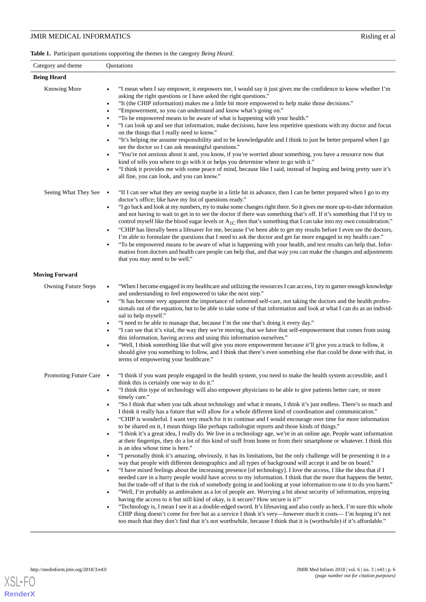<span id="page-5-0"></span>**Table 1.** Participant quotations supporting the themes in the category *Being Heard*.

| Category and theme         | Quotations                                                                                                                                                                                                                                                                                                                                                                                                                                                                                                                                                                                                                                                                                                                                                                                                                                                                                                                                                                                                                                                                                                                                                                                                                                                                                                                                                                                                                                                                                                                                                                                                                                                                                                                                                                                                                                                                                                                                                                                                                                                                                                                                                                                                                       |
|----------------------------|----------------------------------------------------------------------------------------------------------------------------------------------------------------------------------------------------------------------------------------------------------------------------------------------------------------------------------------------------------------------------------------------------------------------------------------------------------------------------------------------------------------------------------------------------------------------------------------------------------------------------------------------------------------------------------------------------------------------------------------------------------------------------------------------------------------------------------------------------------------------------------------------------------------------------------------------------------------------------------------------------------------------------------------------------------------------------------------------------------------------------------------------------------------------------------------------------------------------------------------------------------------------------------------------------------------------------------------------------------------------------------------------------------------------------------------------------------------------------------------------------------------------------------------------------------------------------------------------------------------------------------------------------------------------------------------------------------------------------------------------------------------------------------------------------------------------------------------------------------------------------------------------------------------------------------------------------------------------------------------------------------------------------------------------------------------------------------------------------------------------------------------------------------------------------------------------------------------------------------|
| <b>Being Heard</b>         |                                                                                                                                                                                                                                                                                                                                                                                                                                                                                                                                                                                                                                                                                                                                                                                                                                                                                                                                                                                                                                                                                                                                                                                                                                                                                                                                                                                                                                                                                                                                                                                                                                                                                                                                                                                                                                                                                                                                                                                                                                                                                                                                                                                                                                  |
| <b>Knowing More</b>        | "I mean when I say empower, it empowers me, I would say it just gives me the confidence to know whether I'm<br>asking the right questions or I have asked the right questions."<br>"It (the CHIP information) makes me a little bit more empowered to help make those decisions."<br>$\bullet$<br>"Empowerment, so you can understand and know what's going on."<br>$\bullet$<br>"To be empowered means to be aware of what is happening with your health."<br>"I can look up and see that information, make decisions, have less repetitive questions with my doctor and focus<br>on the things that I really need to know."<br>"It's helping me assume responsibility and to be knowledgeable and I think to just be better prepared when I go<br>$\bullet$<br>see the doctor so I can ask meaningful questions."<br>"You're not anxious about it and, you know, if you're worried about something, you have a resource now that<br>kind of tells you where to go with it or helps you determine where to go with it."<br>"I think it provides me with some peace of mind, because like I said, instead of hoping and being pretty sure it's<br>$\bullet$<br>all fine, you can look, and you can know."                                                                                                                                                                                                                                                                                                                                                                                                                                                                                                                                                                                                                                                                                                                                                                                                                                                                                                                                                                                                                        |
| Seeing What They See       | "If I can see what they are seeing maybe in a little bit in advance, then I can be better prepared when I go to my<br>$\bullet$<br>doctor's office; like have my list of questions ready."<br>"I go back and look at my numbers, try to make some changes right there. So it gives me more up-to-date information<br>$\bullet$<br>and not having to wait to get in to see the doctor if there was something that's off. If it's something that I'd try to<br>control myself like the blood sugar levels or $A_{1C}$ then that's something that I can take into my own consideration."<br>"CHIP has literally been a lifesaver for me, because I've been able to get my results before I even see the doctors,<br>$\bullet$<br>I'm able to formulate the questions that I need to ask the doctor and get far more engaged in my health care."<br>"To be empowered means to be aware of what is happening with your health, and test results can help that. Infor-<br>mation from doctors and health care people can help that, and that way you can make the changes and adjustments<br>that you may need to be well."                                                                                                                                                                                                                                                                                                                                                                                                                                                                                                                                                                                                                                                                                                                                                                                                                                                                                                                                                                                                                                                                                                            |
| <b>Moving Forward</b>      |                                                                                                                                                                                                                                                                                                                                                                                                                                                                                                                                                                                                                                                                                                                                                                                                                                                                                                                                                                                                                                                                                                                                                                                                                                                                                                                                                                                                                                                                                                                                                                                                                                                                                                                                                                                                                                                                                                                                                                                                                                                                                                                                                                                                                                  |
| <b>Owning Future Steps</b> | "When I become engaged in my healthcare and utilizing the resources I can access, I try to garner enough knowledge<br>and understanding to feel empowered to take the next step."<br>"It has become very apparent the importance of informed self-care, not taking the doctors and the health profes-<br>$\bullet$<br>sionals out of the equation, but to be able to take some of that information and look at what I can do as an individ-<br>ual to help myself."<br>"I need to be able to manage that, because I'm the one that's doing it every day."<br>٠<br>"I can see that it's vital, the way they we're moving, that we have that self-empowerment that comes from using<br>this information, having access and using this information ourselves."<br>"Well, I think something like that will give you more empowerment because it'll give you a track to follow, it<br>should give you something to follow, and I think that there's even something else that could be done with that, in<br>terms of empowering your healthcare."                                                                                                                                                                                                                                                                                                                                                                                                                                                                                                                                                                                                                                                                                                                                                                                                                                                                                                                                                                                                                                                                                                                                                                                     |
| Promoting Future Care •    | 'I think if you want people engaged in the health system, you need to make the health system accessible, and I<br>think this is certainly one way to do it."<br>"I think this type of technology will also empower physicians to be able to give patients better care, or more<br>timely care."<br>"So I think that when you talk about technology and what it means, I think it's just endless. There's so much and<br>I think it really has a future that will allow for a whole different kind of coordination and communication."<br>"CHIP is wonderful. I want very much for it to continue and I would encourage over time for more information<br>to be shared on it, I mean things like perhaps radiologist reports and those kinds of things."<br>"I think it's a great idea, I really do. We live in a technology age, we're in an online age. People want information<br>at their fingertips, they do a lot of this kind of stuff from home or from their smartphone or whatever. I think this<br>is an idea whose time is here."<br>"I personally think it's amazing, obviously, it has its limitations, but the only challenge will be presenting it in a<br>way that people with different demographics and all types of background will accept it and be on board."<br>"I have mixed feelings about the increasing presence [of technology]. I love the access, I like the idea that if I<br>needed care in a hurry people would have access to my information. I think that the more that happens the better,<br>but the trade-off of that is the risk of somebody going in and looking at your information to use it to do you harm."<br>"Well, I'm probably as ambivalent as a lot of people are. Worrying a bit about security of information, enjoying<br>having the access to it but still kind of okay, is it secure? How secure is it?"<br>"Technology is, I mean I see it as a double-edged sword. It's lifesaving and also costly as heck. I'm sure this whole<br>CHIP thing doesn't come for free but as a service I think it's very—however much it costs—I'm hoping it's not<br>too much that they don't find that it's not worthwhile, because I think that it is (worthwhile) if it's affordable." |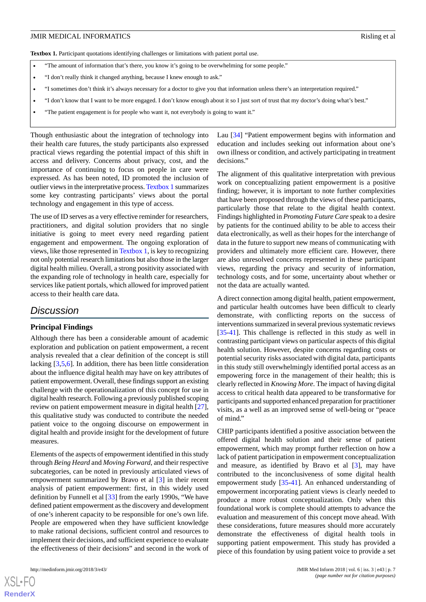<span id="page-6-0"></span>Textbox 1. Participant quotations identifying challenges or limitations with patient portal use.

- "The amount of information that's there, you know it's going to be overwhelming for some people."
- "I don't really think it changed anything, because I knew enough to ask."
- "I sometimes don't think it's always necessary for a doctor to give you that information unless there's an interpretation required."
- "I don't know that I want to be more engaged. I don't know enough about it so I just sort of trust that my doctor's doing what's best."
- "The patient engagement is for people who want it, not everybody is going to want it."

Though enthusiastic about the integration of technology into their health care futures, the study participants also expressed practical views regarding the potential impact of this shift in access and delivery. Concerns about privacy, cost, and the importance of continuing to focus on people in care were expressed. As has been noted, ID promoted the inclusion of outlier views in the interpretative process. [Textbox 1](#page-6-0) summarizes some key contrasting participants' views about the portal technology and engagement in this type of access.

The use of ID serves as a very effective reminder for researchers, practitioners, and digital solution providers that no single initiative is going to meet every need regarding patient engagement and empowerment. The ongoing exploration of views, like those represented in [Textbox 1](#page-6-0), is key to recognizing not only potential research limitations but also those in the larger digital health milieu. Overall, a strong positivity associated with the expanding role of technology in health care, especially for services like patient portals, which allowed for improved patient access to their health care data.

# *Discussion*

#### **Principal Findings**

Although there has been a considerable amount of academic exploration and publication on patient empowerment, a recent analysis revealed that a clear definition of the concept is still lacking [\[3](#page-7-2),[5,](#page-7-3)[6](#page-8-0)]. In addition, there has been little consideration about the influence digital health may have on key attributes of patient empowerment. Overall, these findings support an existing challenge with the operationalization of this concept for use in digital health research. Following a previously published scoping review on patient empowerment measure in digital health [[27\]](#page-8-18), this qualitative study was conducted to contribute the needed patient voice to the ongoing discourse on empowerment in digital health and provide insight for the development of future measures.

Elements of the aspects of empowerment identified in this study through *Being Heard* and *Moving Forward*, and their respective subcategories, can be noted in previously articulated views of empowerment summarized by Bravo et al [[3\]](#page-7-2) in their recent analysis of patient empowerment: first, in this widely used definition by Funnell et al [[33\]](#page-9-3) from the early 1990s, "We have defined patient empowerment as the discovery and development of one's inherent capacity to be responsible for one's own life. People are empowered when they have sufficient knowledge to make rational decisions, sufficient control and resources to implement their decisions, and sufficient experience to evaluate the effectiveness of their decisions" and second in the work of

Lau [[34\]](#page-9-4) "Patient empowerment begins with information and education and includes seeking out information about one's own illness or condition, and actively participating in treatment decisions."

The alignment of this qualitative interpretation with previous work on conceptualizing patient empowerment is a positive finding; however, it is important to note further complexities that have been proposed through the views of these participants, particularly those that relate to the digital health context. Findings highlighted in *Promoting Future Care* speak to a desire by patients for the continued ability to be able to access their data electronically, as well as their hopes for the interchange of data in the future to support new means of communicating with providers and ultimately more efficient care. However, there are also unresolved concerns represented in these participant views, regarding the privacy and security of information, technology costs, and for some, uncertainty about whether or not the data are actually wanted.

A direct connection among digital health, patient empowerment, and particular health outcomes have been difficult to clearly demonstrate, with conflicting reports on the success of interventions summarized in several previous systematic reviews [[35](#page-9-5)[-41](#page-9-6)]. This challenge is reflected in this study as well in contrasting participant views on particular aspects of this digital health solution. However, despite concerns regarding costs or potential security risks associated with digital data, participants in this study still overwhelmingly identified portal access as an empowering force in the management of their health; this is clearly reflected in *Knowing More*. The impact of having digital access to critical health data appeared to be transformative for participants and supported enhanced preparation for practitioner visits, as a well as an improved sense of well-being or "peace of mind."

CHIP participants identified a positive association between the offered digital health solution and their sense of patient empowerment, which may prompt further reflection on how a lack of patient participation in empowerment conceptualization and measure, as identified by Bravo et al [\[3](#page-7-2)], may have contributed to the inconclusiveness of some digital health empowerment study [\[35](#page-9-5)-[41\]](#page-9-6). An enhanced understanding of empowerment incorporating patient views is clearly needed to produce a more robust conceptualization. Only when this foundational work is complete should attempts to advance the evaluation and measurement of this concept move ahead. With these considerations, future measures should more accurately demonstrate the effectiveness of digital health tools in supporting patient empowerment. This study has provided a piece of this foundation by using patient voice to provide a set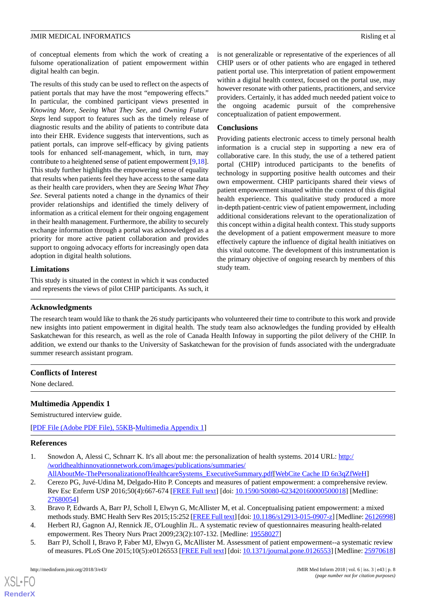of conceptual elements from which the work of creating a fulsome operationalization of patient empowerment within digital health can begin.

The results of this study can be used to reflect on the aspects of patient portals that may have the most "empowering effects." In particular, the combined participant views presented in *Knowing More*, *Seeing What They See*, and *Owning Future Steps* lend support to features such as the timely release of diagnostic results and the ability of patients to contribute data into their EHR. Evidence suggests that interventions, such as patient portals, can improve self-efficacy by giving patients tools for enhanced self-management, which, in turn, may contribute to a heightened sense of patient empowerment [[9,](#page-8-3)[18\]](#page-8-11). This study further highlights the empowering sense of equality that results when patients feel they have access to the same data as their health care providers, when they are *Seeing What They See*. Several patients noted a change in the dynamics of their provider relationships and identified the timely delivery of information as a critical element for their ongoing engagement in their health management. Furthermore, the ability to securely exchange information through a portal was acknowledged as a priority for more active patient collaboration and provides support to ongoing advocacy efforts for increasingly open data adoption in digital health solutions.

# **Limitations**

This study is situated in the context in which it was conducted and represents the views of pilot CHIP participants. As such, it

is not generalizable or representative of the experiences of all CHIP users or of other patients who are engaged in tethered patient portal use. This interpretation of patient empowerment within a digital health context, focused on the portal use, may however resonate with other patients, practitioners, and service providers. Certainly, it has added much needed patient voice to the ongoing academic pursuit of the comprehensive conceptualization of patient empowerment.

#### **Conclusions**

Providing patients electronic access to timely personal health information is a crucial step in supporting a new era of collaborative care. In this study, the use of a tethered patient portal (CHIP) introduced participants to the benefits of technology in supporting positive health outcomes and their own empowerment. CHIP participants shared their views of patient empowerment situated within the context of this digital health experience. This qualitative study produced a more in-depth patient-centric view of patient empowerment, including additional considerations relevant to the operationalization of this concept within a digital health context. This study supports the development of a patient empowerment measure to more effectively capture the influence of digital health initiatives on this vital outcome. The development of this instrumentation is the primary objective of ongoing research by members of this study team.

# **Acknowledgments**

The research team would like to thank the 26 study participants who volunteered their time to contribute to this work and provide new insights into patient empowerment in digital health. The study team also acknowledges the funding provided by eHealth Saskatchewan for this research, as well as the role of Canada Health Infoway in supporting the pilot delivery of the CHIP. In addition, we extend our thanks to the University of Saskatchewan for the provision of funds associated with the undergraduate summer research assistant program.

# <span id="page-7-4"></span>**Conflicts of Interest**

None declared.

# **Multimedia Appendix 1**

<span id="page-7-0"></span>Semistructured interview guide.

<span id="page-7-1"></span>[[PDF File \(Adobe PDF File\), 55KB-Multimedia Appendix 1](https://jmir.org/api/download?alt_name=medinform_v6i3e43_app1.pdf&filename=19891c3f107219c533e385a2bb2c6a3b.pdf)]

#### **References**

- <span id="page-7-2"></span>1. Snowdon A, Alessi C, Schnarr K. It's all about me: the personalization of health systems. 2014 URL: [http:/](http://worldhealthinnovationnetwork.com/images/publications/summaries/AllAboutMe-ThePersonalizationofHealthcareSystems_ExecutiveSummary.pdf) [/worldhealthinnovationnetwork.com/images/publications/summaries/](http://worldhealthinnovationnetwork.com/images/publications/summaries/AllAboutMe-ThePersonalizationofHealthcareSystems_ExecutiveSummary.pdf)
- [AllAboutMe-ThePersonalizationofHealthcareSystems\\_ExecutiveSummary.pdf\[](http://worldhealthinnovationnetwork.com/images/publications/summaries/AllAboutMe-ThePersonalizationofHealthcareSystems_ExecutiveSummary.pdf)[WebCite Cache ID 6n3qZfWeH](http://www.webcitation.org/

                 6n3qZfWeH)]
- <span id="page-7-3"></span>2. Cerezo PG, Juvé-Udina M, Delgado-Hito P. Concepts and measures of patient empowerment: a comprehensive review. Rev Esc Enferm USP 2016;50(4):667-674 [[FREE Full text\]](http://www.scielo.br/scielo.php?script=sci_arttext&pid=S0080-62342016000400667&lng=en&nrm=iso&tlng=en) [doi: [10.1590/S0080-623420160000500018](http://dx.doi.org/10.1590/S0080-623420160000500018)] [Medline: [27680054](http://www.ncbi.nlm.nih.gov/entrez/query.fcgi?cmd=Retrieve&db=PubMed&list_uids=27680054&dopt=Abstract)]
- 3. Bravo P, Edwards A, Barr PJ, Scholl I, Elwyn G, McAllister M, et al. Conceptualising patient empowerment: a mixed methods study. BMC Health Serv Res 2015;15:252 [[FREE Full text\]](http://www.biomedcentral.com/1472-6963/15/252) [doi: [10.1186/s12913-015-0907-z](http://dx.doi.org/10.1186/s12913-015-0907-z)] [Medline: [26126998\]](http://www.ncbi.nlm.nih.gov/entrez/query.fcgi?cmd=Retrieve&db=PubMed&list_uids=26126998&dopt=Abstract)
- 4. Herbert RJ, Gagnon AJ, Rennick JE, O'Loughlin JL. A systematic review of questionnaires measuring health-related empowerment. Res Theory Nurs Pract 2009;23(2):107-132. [Medline: [19558027\]](http://www.ncbi.nlm.nih.gov/entrez/query.fcgi?cmd=Retrieve&db=PubMed&list_uids=19558027&dopt=Abstract)
- 5. Barr PJ, Scholl I, Bravo P, Faber MJ, Elwyn G, McAllister M. Assessment of patient empowerment--a systematic review of measures. PLoS One 2015;10(5):e0126553 [[FREE Full text](http://dx.plos.org/10.1371/journal.pone.0126553)] [doi: [10.1371/journal.pone.0126553\]](http://dx.doi.org/10.1371/journal.pone.0126553) [Medline: [25970618](http://www.ncbi.nlm.nih.gov/entrez/query.fcgi?cmd=Retrieve&db=PubMed&list_uids=25970618&dopt=Abstract)]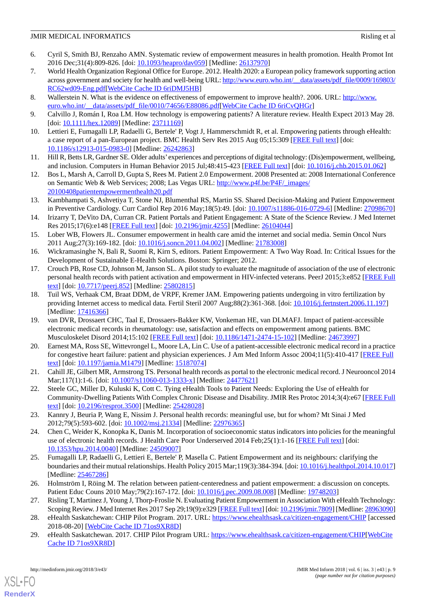- <span id="page-8-0"></span>6. Cyril S, Smith BJ, Renzaho AMN. Systematic review of empowerment measures in health promotion. Health Promot Int 2016 Dec;31(4):809-826. [doi: [10.1093/heapro/dav059\]](http://dx.doi.org/10.1093/heapro/dav059) [Medline: [26137970](http://www.ncbi.nlm.nih.gov/entrez/query.fcgi?cmd=Retrieve&db=PubMed&list_uids=26137970&dopt=Abstract)]
- <span id="page-8-1"></span>7. World Health Organization Regional Office for Europe. 2012. Health 2020: a European policy framework supporting action across government and society for health and well-being URL: [http://www.euro.who.int/\\_\\_data/assets/pdf\\_file/0009/169803/](http://www.euro.who.int/__data/assets/pdf_file/0009/169803/RC62wd09-Eng.pdf) [RC62wd09-Eng.pdf](http://www.euro.who.int/__data/assets/pdf_file/0009/169803/RC62wd09-Eng.pdf)[[WebCite Cache ID 6riDMJ5HB](http://www.webcitation.org/

                                6riDMJ5HB)]
- <span id="page-8-3"></span><span id="page-8-2"></span>8. Wallerstein N. What is the evidence on effectiveness of empowerment to improve health?. 2006. URL: [http://www.](http://www.euro.who.int/__data/assets/pdf_file/0010/74656/E88086.pdf) [euro.who.int/\\_\\_data/assets/pdf\\_file/0010/74656/E88086.pdf](http://www.euro.who.int/__data/assets/pdf_file/0010/74656/E88086.pdf)[\[WebCite Cache ID 6riCvQHGr](http://www.webcitation.org/

                                6riCvQHGr)]
- <span id="page-8-6"></span>9. Calvillo J, Román I, Roa LM. How technology is empowering patients? A literature review. Health Expect 2013 May 28. [doi: [10.1111/hex.12089\]](http://dx.doi.org/10.1111/hex.12089) [Medline: [23711169\]](http://www.ncbi.nlm.nih.gov/entrez/query.fcgi?cmd=Retrieve&db=PubMed&list_uids=23711169&dopt=Abstract)
- 10. Lettieri E, Fumagalli LP, Radaelli G, Bertele' P, Vogt J, Hammerschmidt R, et al. Empowering patients through eHealth: a case report of a pan-European project. BMC Health Serv Res 2015 Aug 05;15:309 [[FREE Full text\]](https://bmchealthservres.biomedcentral.com/articles/10.1186/s12913-015-0983-0) [doi: [10.1186/s12913-015-0983-0\]](http://dx.doi.org/10.1186/s12913-015-0983-0) [Medline: [26242863](http://www.ncbi.nlm.nih.gov/entrez/query.fcgi?cmd=Retrieve&db=PubMed&list_uids=26242863&dopt=Abstract)]
- <span id="page-8-4"></span>11. Hill R, Betts LR, Gardner SE. Older adults'experiences and perceptions of digital technology: (Dis)empowerment, wellbeing, and inclusion. Computers in Human Behavior 2015 Jul;48:415-423 [[FREE Full text](https://doi.org/10.1016/j.chb.2015.01.062)] [doi: [10.1016/j.chb.2015.01.062](http://dx.doi.org/10.1016/j.chb.2015.01.062)]
- <span id="page-8-5"></span>12. Bos L, Marsh A, Carroll D, Gupta S, Rees M. Patient 2.0 Empowerment. 2008 Presented at: 2008 International Conference on Semantic Web & Web Services; 2008; Las Vegas URL: [http://www.p4f.be/P4F/\\_images/](http://www.p4f.be/P4F/_images/20100408patientempowermenthealth20.pdf) [20100408patientempowermenthealth20.pdf](http://www.p4f.be/P4F/_images/20100408patientempowermenthealth20.pdf)
- <span id="page-8-7"></span>13. Kambhampati S, Ashvetiya T, Stone NJ, Blumenthal RS, Martin SS. Shared Decision-Making and Patient Empowerment in Preventive Cardiology. Curr Cardiol Rep 2016 May;18(5):49. [doi: [10.1007/s11886-016-0729-6](http://dx.doi.org/10.1007/s11886-016-0729-6)] [Medline: [27098670\]](http://www.ncbi.nlm.nih.gov/entrez/query.fcgi?cmd=Retrieve&db=PubMed&list_uids=27098670&dopt=Abstract)
- <span id="page-8-8"></span>14. Irizarry T, DeVito DA, Curran CR. Patient Portals and Patient Engagement: A State of the Science Review. J Med Internet Res 2015;17(6):e148 [\[FREE Full text\]](http://www.jmir.org/2015/6/e148/) [doi: [10.2196/jmir.4255](http://dx.doi.org/10.2196/jmir.4255)] [Medline: [26104044\]](http://www.ncbi.nlm.nih.gov/entrez/query.fcgi?cmd=Retrieve&db=PubMed&list_uids=26104044&dopt=Abstract)
- <span id="page-8-10"></span><span id="page-8-9"></span>15. Lober WB, Flowers JL. Consumer empowerment in health care amid the internet and social media. Semin Oncol Nurs 2011 Aug;27(3):169-182. [doi: [10.1016/j.soncn.2011.04.002\]](http://dx.doi.org/10.1016/j.soncn.2011.04.002) [Medline: [21783008](http://www.ncbi.nlm.nih.gov/entrez/query.fcgi?cmd=Retrieve&db=PubMed&list_uids=21783008&dopt=Abstract)]
- 16. Wickramasinghe N, Bali R, Suomi R, Kirn S, editors. Patient Empowerment: A Two Way Road. In: Critical Issues for the Development of Sustainable E-Health Solutions. Boston: Springer; 2012.
- <span id="page-8-11"></span>17. Crouch PB, Rose CD, Johnson M, Janson SL. A pilot study to evaluate the magnitude of association of the use of electronic personal health records with patient activation and empowerment in HIV-infected veterans. PeerJ 2015;3:e852 [[FREE Full](https://dx.doi.org/10.7717/peerj.852) [text](https://dx.doi.org/10.7717/peerj.852)] [doi: [10.7717/peerj.852](http://dx.doi.org/10.7717/peerj.852)] [Medline: [25802815](http://www.ncbi.nlm.nih.gov/entrez/query.fcgi?cmd=Retrieve&db=PubMed&list_uids=25802815&dopt=Abstract)]
- <span id="page-8-12"></span>18. Tuil WS, Verhaak CM, Braat DDM, de VRPF, Kremer JAM. Empowering patients undergoing in vitro fertilization by providing Internet access to medical data. Fertil Steril 2007 Aug;88(2):361-368. [doi: [10.1016/j.fertnstert.2006.11.197\]](http://dx.doi.org/10.1016/j.fertnstert.2006.11.197) [Medline: [17416366](http://www.ncbi.nlm.nih.gov/entrez/query.fcgi?cmd=Retrieve&db=PubMed&list_uids=17416366&dopt=Abstract)]
- <span id="page-8-13"></span>19. van DVR, Drossaert CHC, Taal E, Drossaers-Bakker KW, Vonkeman HE, van DLMAFJ. Impact of patient-accessible electronic medical records in rheumatology: use, satisfaction and effects on empowerment among patients. BMC Musculoskelet Disord 2014;15:102 [\[FREE Full text\]](http://www.biomedcentral.com/1471-2474/15/102) [doi: [10.1186/1471-2474-15-102](http://dx.doi.org/10.1186/1471-2474-15-102)] [Medline: [24673997](http://www.ncbi.nlm.nih.gov/entrez/query.fcgi?cmd=Retrieve&db=PubMed&list_uids=24673997&dopt=Abstract)]
- <span id="page-8-14"></span>20. Earnest MA, Ross SE, Wittevrongel L, Moore LA, Lin C. Use of a patient-accessible electronic medical record in a practice for congestive heart failure: patient and physician experiences. J Am Med Inform Assoc 2004;11(5):410-417 [\[FREE Full](http://jamia.oxfordjournals.org/lookup/pmidlookup?view=long&pmid=15187074) [text](http://jamia.oxfordjournals.org/lookup/pmidlookup?view=long&pmid=15187074)] [doi: [10.1197/jamia.M1479\]](http://dx.doi.org/10.1197/jamia.M1479) [Medline: [15187074](http://www.ncbi.nlm.nih.gov/entrez/query.fcgi?cmd=Retrieve&db=PubMed&list_uids=15187074&dopt=Abstract)]
- 21. Cahill JE, Gilbert MR, Armstrong TS. Personal health records as portal to the electronic medical record. J Neurooncol 2014 Mar;117(1):1-6. [doi: [10.1007/s11060-013-1333-x](http://dx.doi.org/10.1007/s11060-013-1333-x)] [Medline: [24477621](http://www.ncbi.nlm.nih.gov/entrez/query.fcgi?cmd=Retrieve&db=PubMed&list_uids=24477621&dopt=Abstract)]
- <span id="page-8-15"></span>22. Steele GC, Miller D, Kuluski K, Cott C. Tying eHealth Tools to Patient Needs: Exploring the Use of eHealth for Community-Dwelling Patients With Complex Chronic Disease and Disability. JMIR Res Protoc 2014;3(4):e67 [\[FREE Full](http://www.researchprotocols.org/2014/4/e67/) [text](http://www.researchprotocols.org/2014/4/e67/)] [doi: [10.2196/resprot.3500](http://dx.doi.org/10.2196/resprot.3500)] [Medline: [25428028\]](http://www.ncbi.nlm.nih.gov/entrez/query.fcgi?cmd=Retrieve&db=PubMed&list_uids=25428028&dopt=Abstract)
- <span id="page-8-16"></span>23. Kannry J, Beuria P, Wang E, Nissim J. Personal health records: meaningful use, but for whom? Mt Sinai J Med 2012;79(5):593-602. [doi: [10.1002/msj.21334\]](http://dx.doi.org/10.1002/msj.21334) [Medline: [22976365](http://www.ncbi.nlm.nih.gov/entrez/query.fcgi?cmd=Retrieve&db=PubMed&list_uids=22976365&dopt=Abstract)]
- <span id="page-8-17"></span>24. Chen C, Weider K, Konopka K, Danis M. Incorporation of socioeconomic status indicators into policies for the meaningful use of electronic health records. J Health Care Poor Underserved 2014 Feb;25(1):1-16 [\[FREE Full text\]](http://europepmc.org/abstract/MED/24509007) [doi: [10.1353/hpu.2014.0040\]](http://dx.doi.org/10.1353/hpu.2014.0040) [Medline: [24509007\]](http://www.ncbi.nlm.nih.gov/entrez/query.fcgi?cmd=Retrieve&db=PubMed&list_uids=24509007&dopt=Abstract)
- <span id="page-8-19"></span><span id="page-8-18"></span>25. Fumagalli LP, Radaelli G, Lettieri E, Bertele' P, Masella C. Patient Empowerment and its neighbours: clarifying the boundaries and their mutual relationships. Health Policy 2015 Mar;119(3):384-394. [doi: [10.1016/j.healthpol.2014.10.017](http://dx.doi.org/10.1016/j.healthpol.2014.10.017)] [Medline: [25467286](http://www.ncbi.nlm.nih.gov/entrez/query.fcgi?cmd=Retrieve&db=PubMed&list_uids=25467286&dopt=Abstract)]
- <span id="page-8-20"></span>26. Holmström I, Röing M. The relation between patient-centeredness and patient empowerment: a discussion on concepts. Patient Educ Couns 2010 May; 79(2): 167-172. [doi: 10.1016/j.pec. 2009.08.008] [Medline: [19748203](http://www.ncbi.nlm.nih.gov/entrez/query.fcgi?cmd=Retrieve&db=PubMed&list_uids=19748203&dopt=Abstract)]
- 27. Risling T, Martinez J, Young J, Thorp-Froslie N. Evaluating Patient Empowerment in Association With eHealth Technology: Scoping Review. J Med Internet Res 2017 Sep 29;19(9):e329 [[FREE Full text](http://www.jmir.org/2017/9/e329/)] [doi: [10.2196/jmir.7809](http://dx.doi.org/10.2196/jmir.7809)] [Medline: [28963090\]](http://www.ncbi.nlm.nih.gov/entrez/query.fcgi?cmd=Retrieve&db=PubMed&list_uids=28963090&dopt=Abstract)
- 28. eHealth Saskatchewan: CHIP Pilot Program. 2017. URL: <https://www.ehealthsask.ca/citizen-engagement/CHIP> [accessed 2018-08-20] [\[WebCite Cache ID 71os9XR8D](http://www.webcitation.org/

                                71os9XR8D)]
- 29. eHealth Saskatchewan. 2017. CHIP Pilot Program URL: [https://www.ehealthsask.ca/citizen-engagement/CHIP\[](https://www.ehealthsask.ca/citizen-engagement/CHIP)[WebCite](http://www.webcitation.org/

                 71os9XR8D) [Cache ID 71os9XR8D](http://www.webcitation.org/

                                71os9XR8D)]